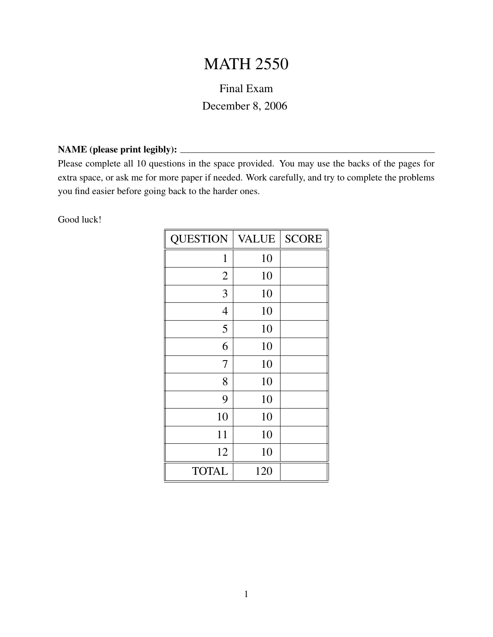## **MATH 2550**

## Final Exam December 8, 2006

## NAME (please print legibly):

Please complete all 10 questions in the space provided. You may use the backs of the pages for extra space, or ask me for more paper if needed. Work carefully, and try to complete the problems you find easier before going back to the harder ones.

Good luck!

| <b>QUESTION</b> | <b>VALUE</b> | <b>SCORE</b> |
|-----------------|--------------|--------------|
| $\mathbf{1}$    | 10           |              |
| $\overline{2}$  | 10           |              |
| 3               | 10           |              |
| $\overline{4}$  | 10           |              |
| 5               | 10           |              |
| 6               | 10           |              |
| 7               | 10           |              |
| 8               | 10           |              |
| 9               | 10           |              |
| 10              | 10           |              |
| 11              | 10           |              |
| 12              | 10           |              |
| <b>TOTAL</b>    | 120          |              |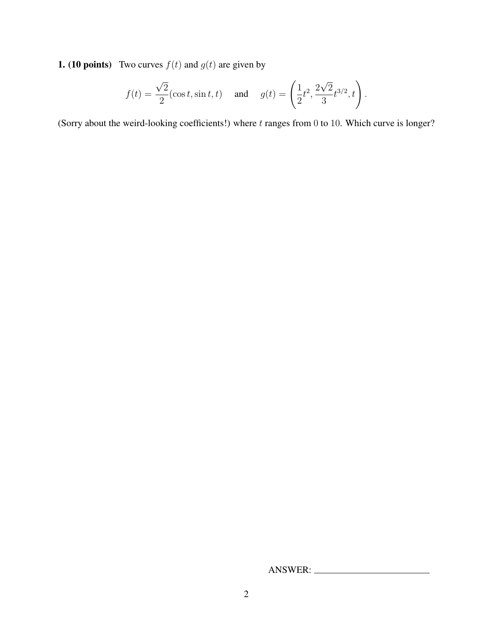**1. (10 points)** Two curves  $f(t)$  and  $g(t)$  are given by

$$
f(t) = \frac{\sqrt{2}}{2}(\cos t, \sin t, t)
$$
 and  $g(t) = \left(\frac{1}{2}t^2, \frac{2\sqrt{2}}{3}t^{3/2}, t\right)$ .

(Sorry about the weird-looking coefficients!) where  $t$  ranges from 0 to 10. Which curve is longer?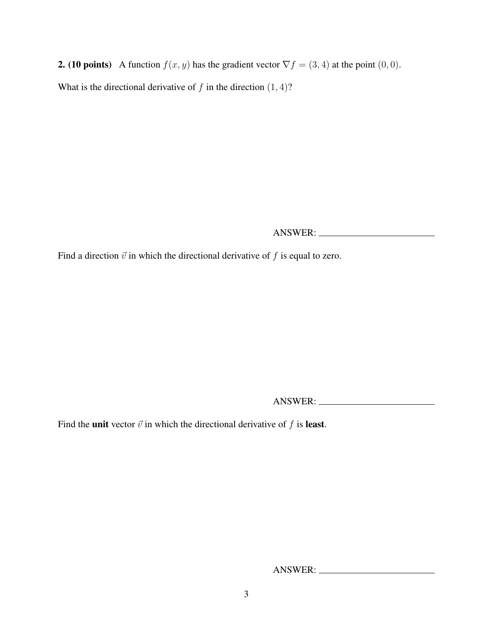**2.** (10 points) A function  $f(x, y)$  has the gradient vector  $\nabla f = (3, 4)$  at the point  $(0, 0)$ . What is the directional derivative of  $f$  in the direction  $(1, 4)$ ?

ANSWER:

Find a direction  $\vec{v}$  in which the directional derivative of f is equal to zero.

ANSWER:

Find the unit vector  $\vec{v}$  in which the directional derivative of f is least.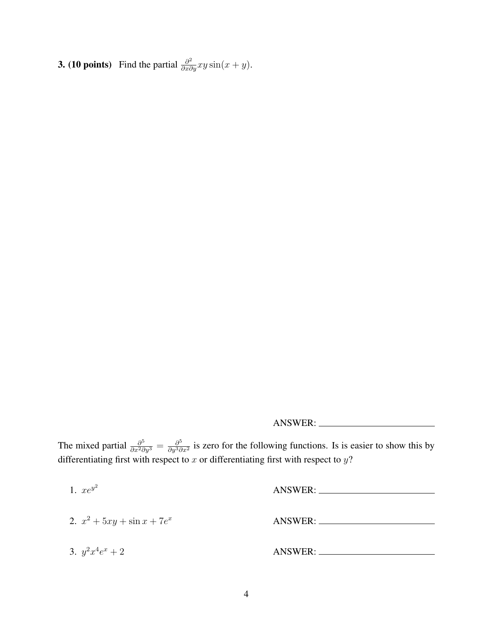**3. (10 points)** Find the partial  $\frac{\partial^2}{\partial x \partial y} xy \sin(x+y)$ .

ANSWER:

The mixed partial  $\frac{\partial^5}{\partial x^2 \partial y^3} = \frac{\partial^5}{\partial y^3 \partial y^3}$  $\frac{\partial^9}{\partial y^3 \partial x^2}$  is zero for the following functions. Is is easier to show this by differentiating first with respect to  $x$  or differentiating first with respect to  $y$ ?

| 1. $xe^{y^2}$                  |                     |
|--------------------------------|---------------------|
| 2. $x^2 + 5xy + \sin x + 7e^x$ | ANSWER: ___________ |
| 3. $y^2x^4e^x + 2$             | ANSWER: _________   |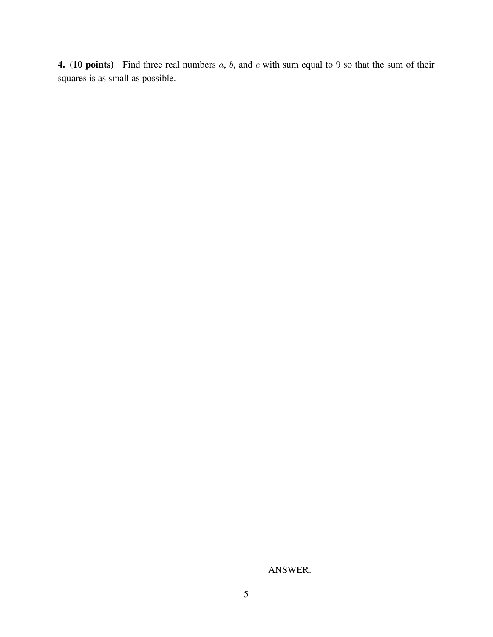**4.** (10 points) Find three real numbers  $a$ ,  $b$ , and  $c$  with sum equal to 9 so that the sum of their squares is as small as possible.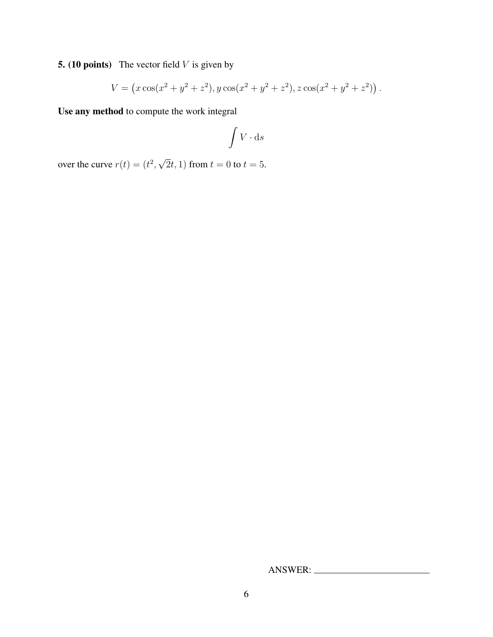**5. (10 points)** The vector field  $V$  is given by

$$
V = (x\cos(x^2 + y^2 + z^2), y\cos(x^2 + y^2 + z^2), z\cos(x^2 + y^2 + z^2)).
$$

Use any method to compute the work integral

$$
\int V \cdot \mathrm{d} s
$$

over the curve  $r(t) = (t^2,$ √  $(2t, 1)$  from  $t = 0$  to  $t = 5$ .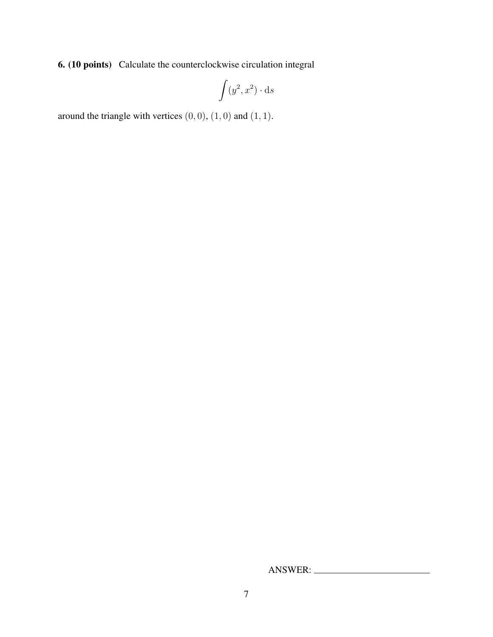6. (10 points) Calculate the counterclockwise circulation integral

$$
\int (y^2, x^2) \cdot ds
$$

around the triangle with vertices  $(0, 0)$ ,  $(1, 0)$  and  $(1, 1)$ .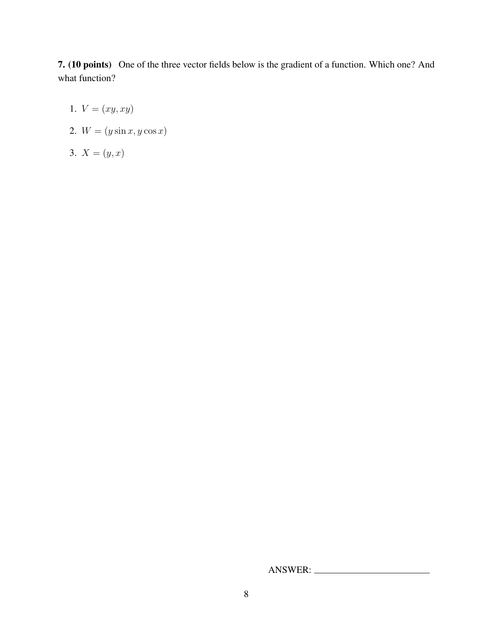7. (10 points) One of the three vector fields below is the gradient of a function. Which one? And what function?

- 1.  $V = (xy, xy)$
- 2.  $W = (y \sin x, y \cos x)$
- 3.  $X = (y, x)$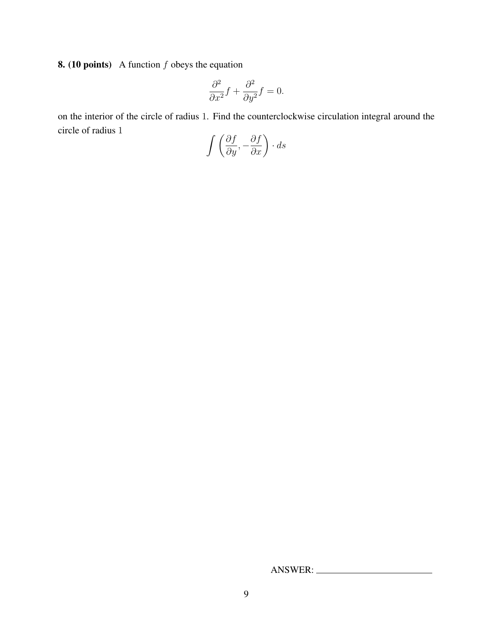**8. (10 points)** A function  $f$  obeys the equation

$$
\frac{\partial^2}{\partial x^2}f + \frac{\partial^2}{\partial y^2}f = 0.
$$

on the interior of the circle of radius 1. Find the counterclockwise circulation integral around the circle of radius 1

$$
\int \left(\frac{\partial f}{\partial y}, -\frac{\partial f}{\partial x}\right) \cdot ds
$$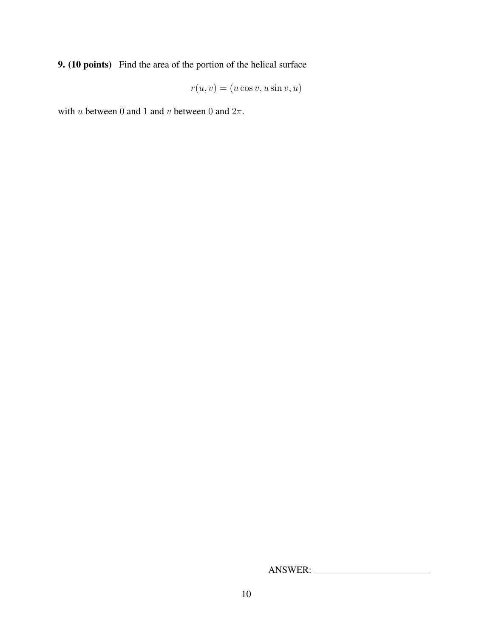9. (10 points) Find the area of the portion of the helical surface

$$
r(u, v) = (u \cos v, u \sin v, u)
$$

with u between 0 and 1 and v between 0 and  $2\pi$ .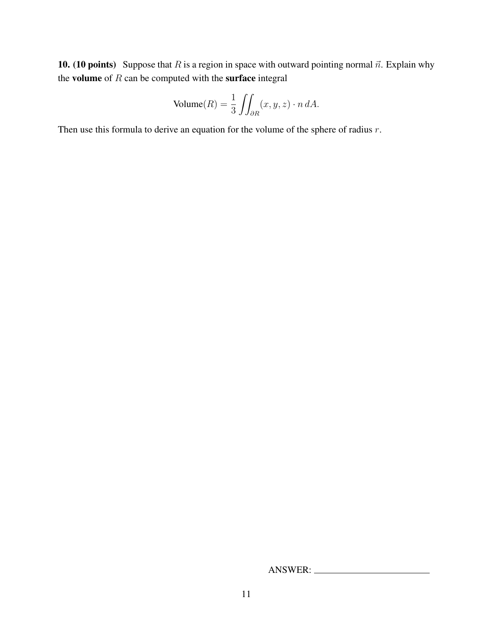10. (10 points) Suppose that R is a region in space with outward pointing normal  $\vec{n}$ . Explain why the volume of  $R$  can be computed with the surface integral

Volume(R) = 
$$
\frac{1}{3} \iint_{\partial R} (x, y, z) \cdot n \, dA.
$$

Then use this formula to derive an equation for the volume of the sphere of radius r.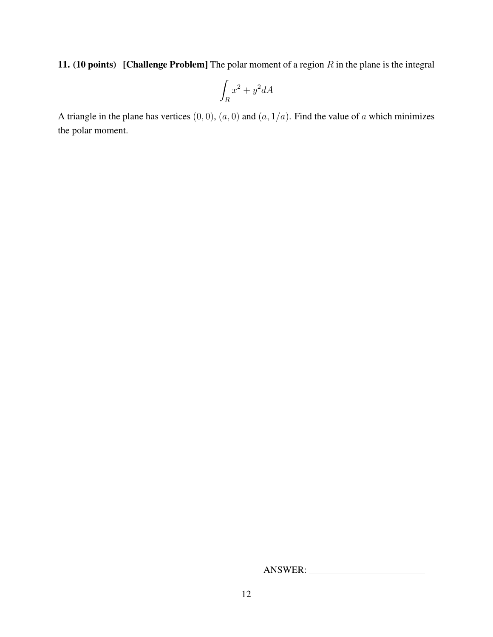11. (10 points) [Challenge Problem] The polar moment of a region  $R$  in the plane is the integral

$$
\int_R x^2 + y^2 dA
$$

A triangle in the plane has vertices  $(0, 0)$ ,  $(a, 0)$  and  $(a, 1/a)$ . Find the value of a which minimizes the polar moment.